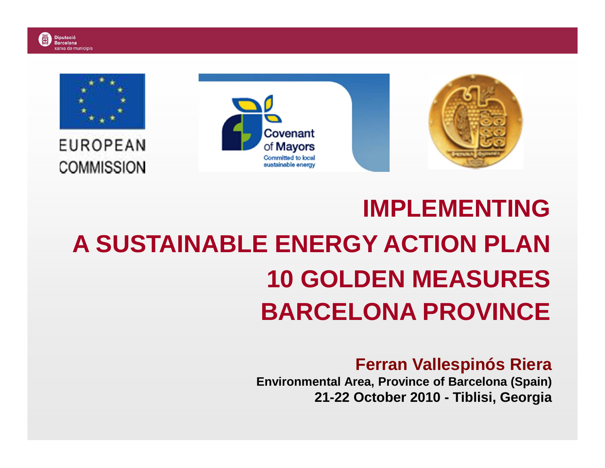

# **IMPLEMENTING A SUSTAINABLE ENERGY ACTION PLAN 10 GOLDEN MEASURESBARCELONA PROVINCE**

#### **Ferran Vallespinós Riera**

 **Environmental Area, Province of Barcelona (Spain)21-22 October 2010 - Tiblisi, Georgia**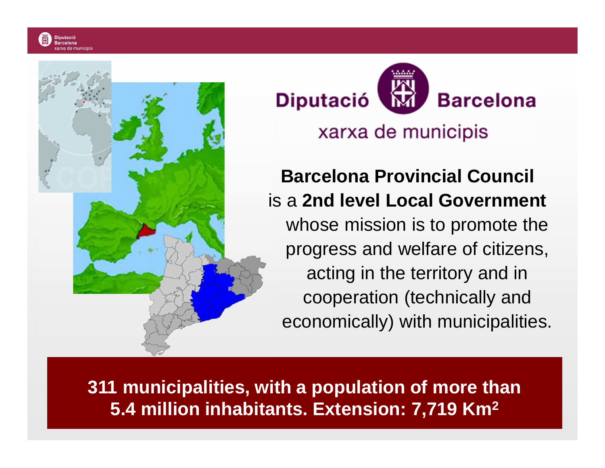

**Barcelona Diputació** 

#### xarxa de municipis

## **Barcelona Provincial Council** is a **2nd level Local Government**whose mission is to promote the progress and welfare of citizens, acting in the territory and in cooperation (technically and economically) with municipalities.

**311 municipalities, with a population of more than 5.4 million inhabitants. Extension: 7,719 Km2**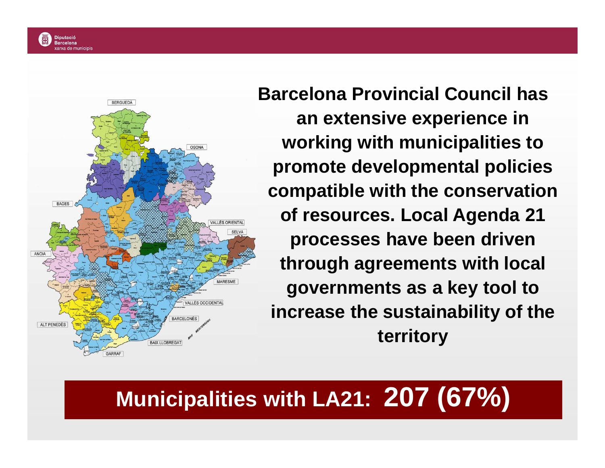



**Barcelona Provincial Council has an extensive experience in working with municipalities to promote developmental policies compatible with the conservation of resources. Local Agenda 21 processes have been driven through agreements with local governments as a key tool to increase the sustainability of the territory**

# **Municipalities with LA21: 207 (67%)**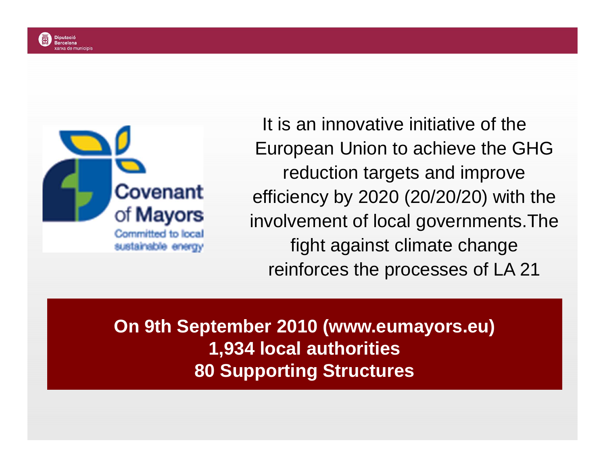

It is an innovative initiative of the European Union to achieve the GHG reduction targets and improve efficiency by 2020 (20/20/20) with the involvement of local governments.The fight against climate change reinforces the processes of LA 21

**On 9th September 2010 (www.eumayors.eu)1,934 local authorities80 Supporting Structures**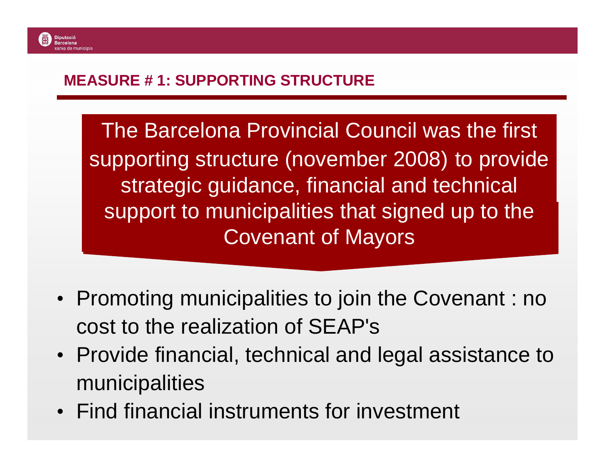#### **MEASURE # 1: SUPPORTING STRUCTURE**

The Barcelona Provincial Council was the first supporting structure (november 2008) to provide strategic guidance, financial and technical support to municipalities that signed up to the Covenant of Mayors

- Promoting municipalities to join the Covenant : no cost to the realization of SEAP's
- Provide financial, technical and legal assistance to municipalities
- Find financial instruments for investment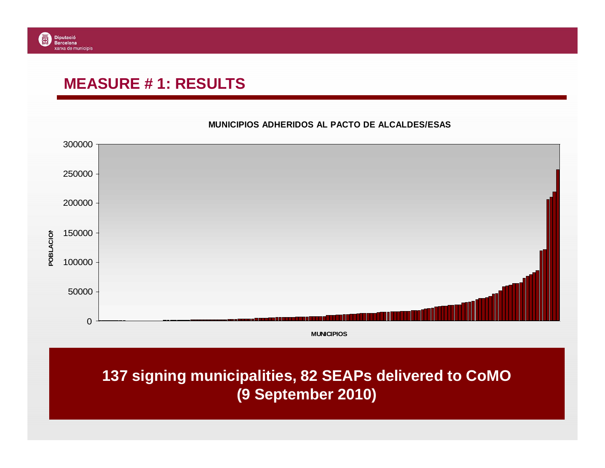#### **MEASURE # 1: RESULTS**



**MUNICIPIOS ADHERIDOS AL PACTO DE ALCALDES/ESAS**

#### **137 signing municipalities, 82 SEAPs delivered to CoMO (9 September 2010)**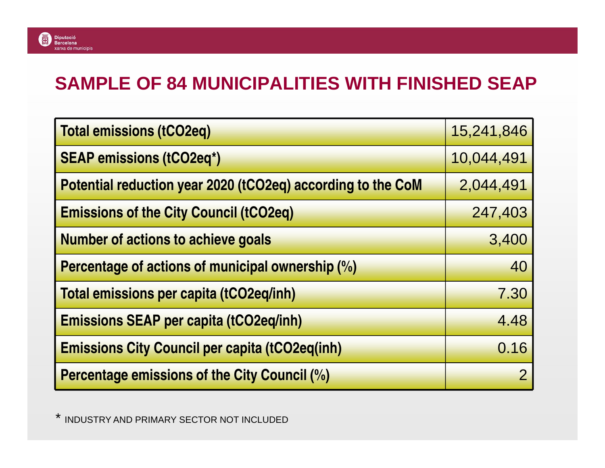#### **SAMPLE OF 84 MUNICIPALITIES WITH FINISHED SEAP**

| <b>Total emissions (tCO2eq)</b>                             | 15,241,846 |
|-------------------------------------------------------------|------------|
| <b>SEAP emissions (tCO2eq*)</b>                             | 10,044,491 |
| Potential reduction year 2020 (tCO2eq) according to the CoM | 2,044,491  |
| <b>Emissions of the City Council (tCO2eq)</b>               | 247,403    |
| <b>Number of actions to achieve goals</b>                   | 3,400      |
| Percentage of actions of municipal ownership (%)            | 40         |
| <b>Total emissions per capita (tCO2eq/inh)</b>              | 7.30       |
| <b>Emissions SEAP per capita (tCO2eq/inh)</b>               | 4.48       |
| <b>Emissions City Council per capita (tCO2eq(inh)</b>       | 0.16       |
| <b>Percentage emissions of the City Council (%)</b>         |            |

\* INDUSTRY AND PRIMARY SECTOR NOT INCLUDED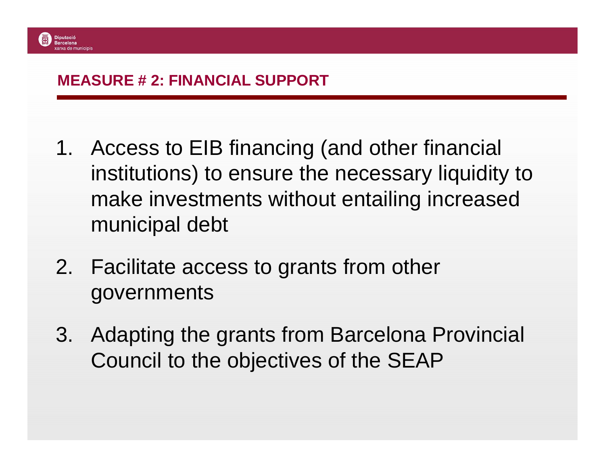#### **MEASURE # 2: FINANCIAL SUPPORT**

- 1. Access to EIB financing (and other financial institutions) to ensure the necessary liquidity to make investments without entailing increased municipal debt
- 2. Facilitate access to grants from other governments
- 3. Adapting the grants from Barcelona Provincial Council to the objectives of the SEAP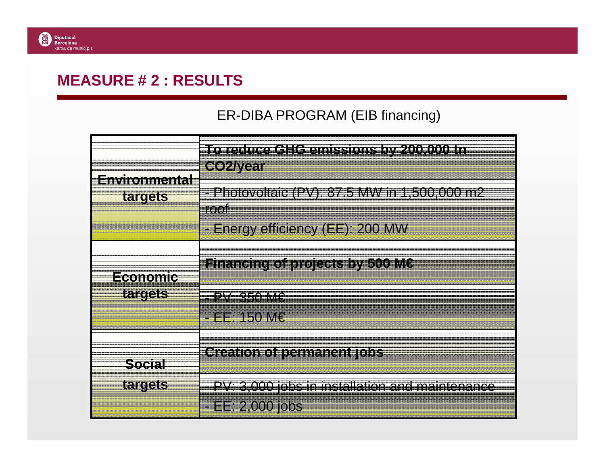#### **MEASURE # 2 : RESULTS**

#### ER-DIBA PROGRAM (EIB financing)

| Environmental              | To reduce GHG emissions by 200,000 tn<br><b>CO2/year</b>                                          |
|----------------------------|---------------------------------------------------------------------------------------------------|
| targets                    | - Photovoltaic (PV): 87.5 MW in 1,500,000 m2<br>root                                              |
| Economic<br><b>targets</b> | - Energy efficiency (EE): 200 MW<br><b>Financing of projects by 500 ME</b><br>$PV: 350 M\epsilon$ |
|                            | <u>- EE: 150 M€</u><br>Greation of permanent jobs                                                 |
| <b>Social</b><br>targets   | PV: 3,000 jobs in installation and maintenance                                                    |
|                            | <u>- EE: 2,000 jobs</u>                                                                           |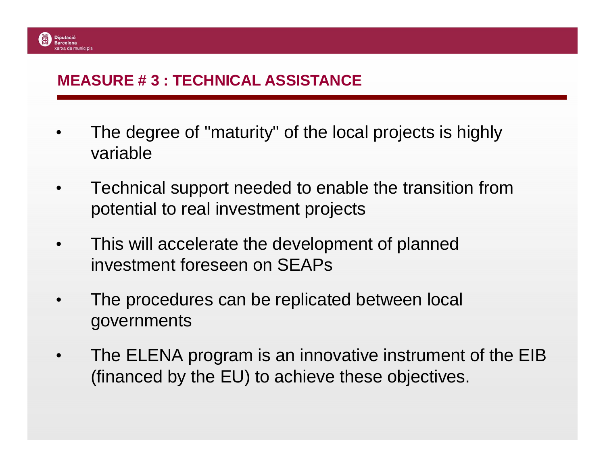#### **MEASURE # 3 : TECHNICAL ASSISTANCE**

**Diputació Barcelona** 

- • The degree of "maturity" of the local projects is highly variable
- $\bullet$  Technical support needed to enable the transition from potential to real investment projects
- $\bullet$  This will accelerate the development of planned investment foreseen on SEAPs
- • The procedures can be replicated between local governments
- $\bullet$  The ELENA program is an innovative instrument of the EIB (financed by the EU) to achieve these objectives.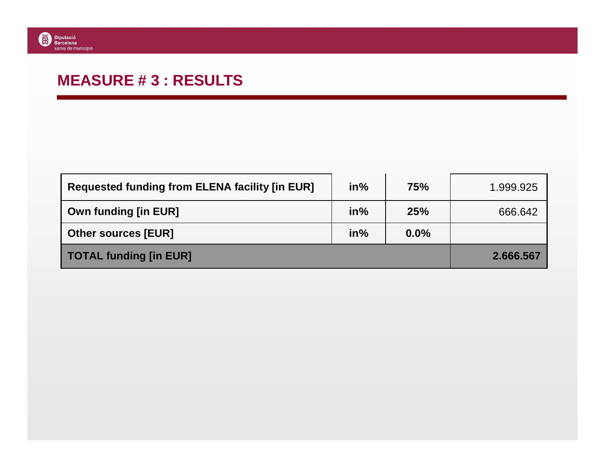#### **MEASURE # 3 : RESULTS**

| <b>Requested funding from ELENA facility [in EUR]</b> | $in\%$ | 75%  | 1.999.925 |
|-------------------------------------------------------|--------|------|-----------|
| <b>Own funding [in EUR]</b>                           | $in\%$ | 25%  | 666.642   |
| <b>Other sources [EUR]</b>                            | $in\%$ | 0.0% |           |
| <b>TOTAL funding [in EUR]</b>                         |        |      | 2.666.567 |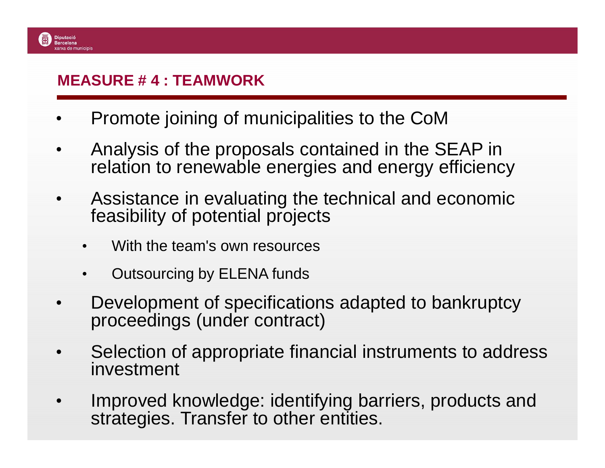#### **MEASURE # 4 : TEAMWORK**

**Diputació Barcelona** 

- •Promote joining of municipalities to the CoM
- • Analysis of the proposals contained in the SEAP in relation to renewable energies and energy efficiency
- • Assistance in evaluating the technical and economic feasibility of potential projects
	- •With the team's own resources
	- •Outsourcing by ELENA funds
- • Development of specifications adapted to bankruptcy proceedings (under contract)
- • Selection of appropriate financial instruments to address investment
- • Improved knowledge: identifying barriers, products and strategies. Transfer to other entities.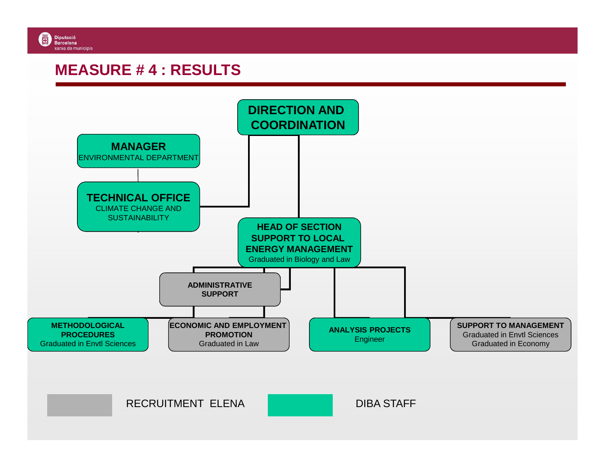

#### **MEASURE # 4 : RESULTS**

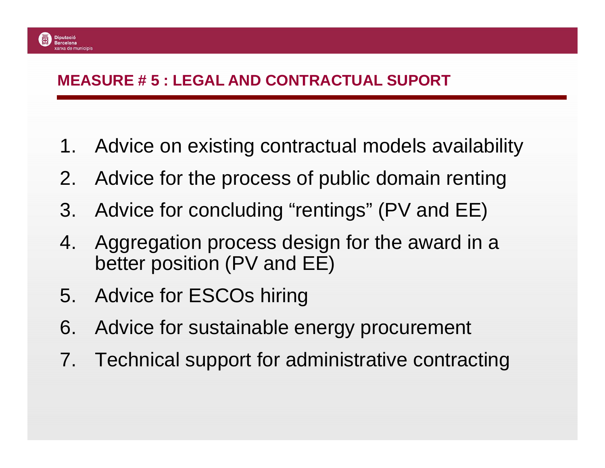#### **MEASURE # 5 : LEGAL AND CONTRACTUAL SUPORT**

- 1. Advice on existing contractual models availabilit y
- 2. Advice for the process of public domain renting
- 3. Advice for concluding "rentings" (PV and EE)
- 4. Aggregation process design for the award in a better position (PV and EE)
- 5. Advice for ESCOs hiring

**Diputació Barcelona** 

- 6. Advice for sustainable energy procurement
- 7. Technical support for administrative contracting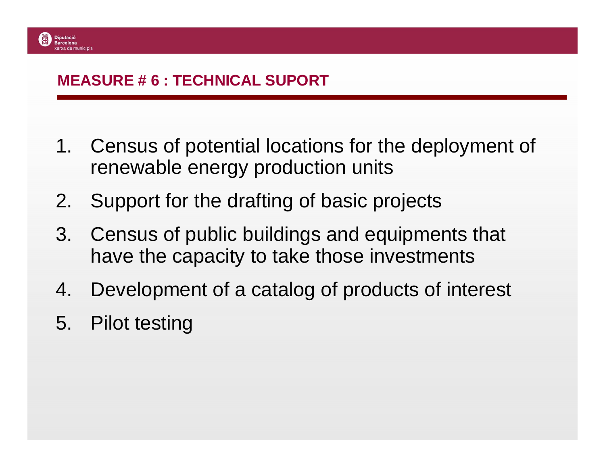#### **MEASURE # 6 : TECHNICAL SUPORT**

- 1. Census of potential locations for the deployment of renewable energy production units
- 2. Support for the drafting of basic projects
- 3. Census of public buildings and equipments that have the capacity to take those investments
- 4. Development of a catalog of products of interest
- 5. Pilot testing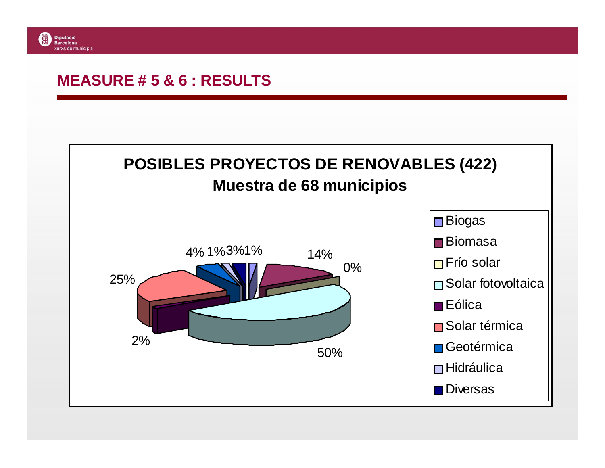#### **MEASURE # 5 & 6 : RESULTS**

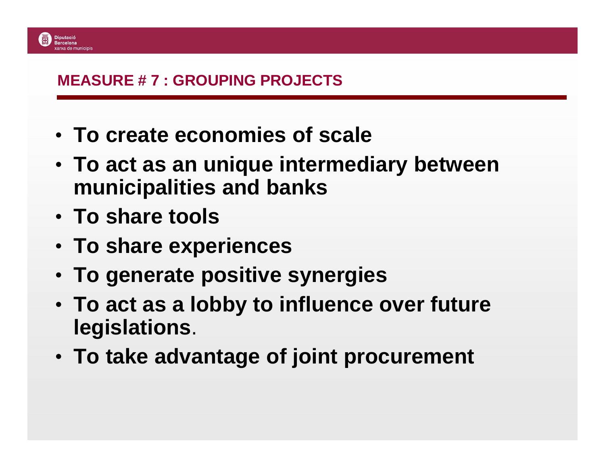

#### **MEASURE # 7 : GROUPING PROJECTS**

- **To create economies of scale**
- **To act as an unique intermediary between municipalities and banks**
- **To share tools**
- **To share experiences**
- **To generate positive synergies**
- **To act as a lobby to influence over future legislations**.
- **To take advantage of joint procurement**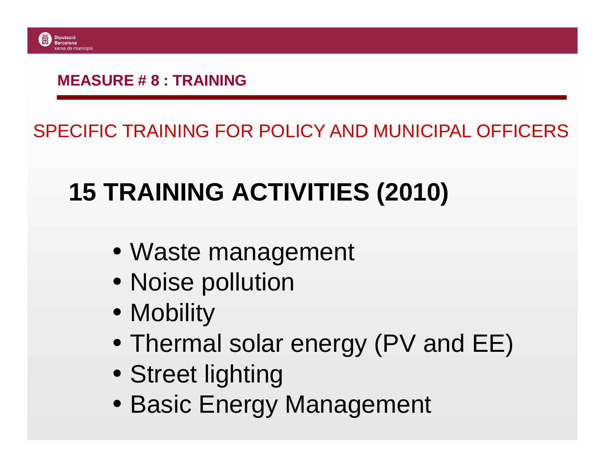

#### **MEASURE # 8 : TRAINING**

### SPECIFIC TRAINING FOR POLICY AND MUNICIPAL OFFICERS

# **15 TRAINING ACTIVITIES (2010)**

- Waste management
- Noise pollution
- Mobility
- Thermal solar energy (PV and EE)
- Street lighting
- Basic Energy Management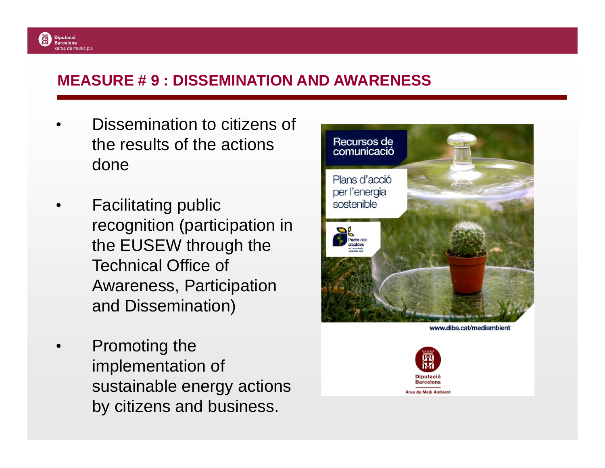#### **MEASURE # 9 : DISSEMINATION AND AWARENESS**

• Dissemination to citizens of the results of the actions done

**Diputació Barcelona** xarxa de municipis

- • Facilitating public recognition (participation in the EUSEW through the Technical Office of Awareness, Participation and Dissemination)
- • Promoting the implementation of sustainable energy actions by citizens and business.



www.diba.cat/mediambient

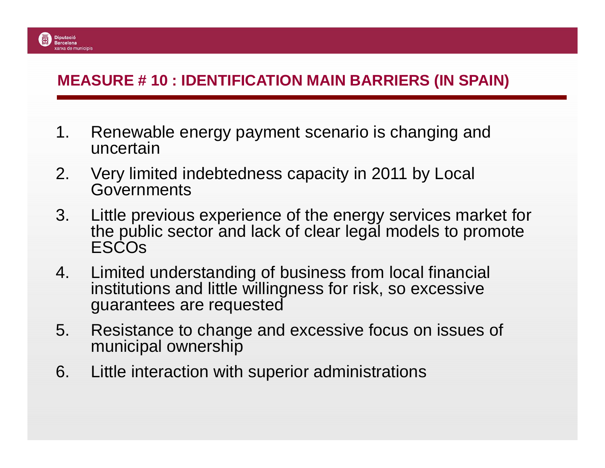#### **MEASURE # 10 : IDENTIFICATION MAIN BARRIERS (IN SPAIN)**

**Diputació Barcelona** xarxa de municinis

- 1. Renewable energy payment scenario is changing anduncertain
- 2. Very limited indebtedness capacity in 2011 by Local Governments
- 3. Little previous experience of the energy services market for the public sector and lack of clear legal models to promote ESCOs
- 4. Limited understanding of business from local financial institutions and little willingness for risk, so excessive guarantees are requested
- 5. Resistance to change and excessive focus on issues of municipal ownership
- 6. Little interaction with superior administrations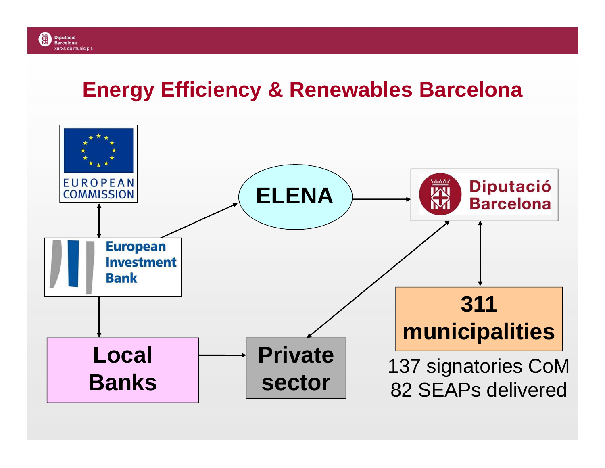#### 网 **Diputació Barcelona** xarxa de municipis

# **Energy Efficiency & Renewables Barcelona**

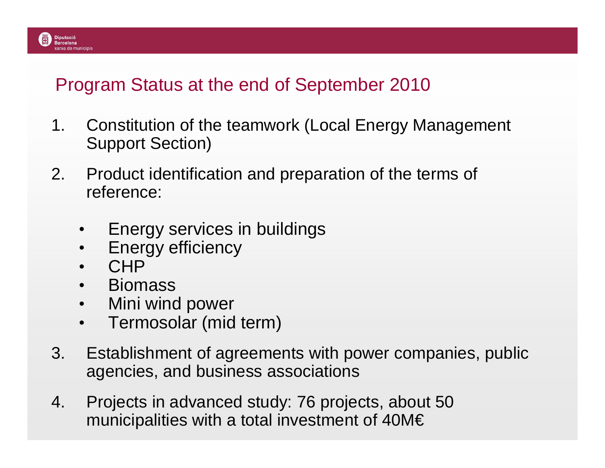#### Program Status at the end of September 2010

- 1. Constitution of the teamwork (Local Energy Management Support Section)
- 2. Product identification and preparation of the terms of reference:
	- $\bullet$ Energy services in buildings
	- $\bullet$ Energy efficiency
	- •**CHP**

**Diputació Barcelona** 

- Biomass •
- Mini wind power  $\bullet$
- $\bullet$ Termosolar (mid term)
- 3. Establishment of agreements with power companies, public agencies, and business associations
- 4. Projects in advanced study: 76 projects, about 50municipalities with a total investment of 40M€